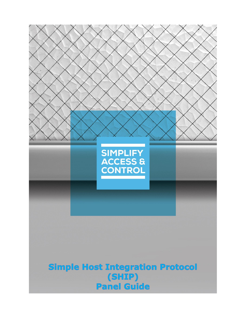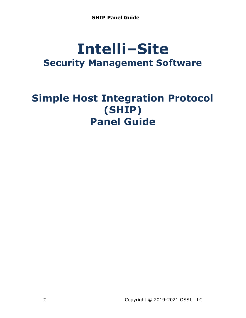# **Intelli‒Site Security Management Software**

## **Simple Host Integration Protocol (SHIP) Panel Guide**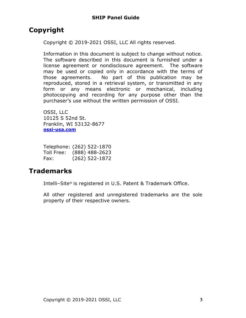## <span id="page-2-0"></span>**Copyright**

Copyright © 2019-2021 OSSI, LLC All rights reserved.

Information in this document is subject to change without notice. The software described in this document is furnished under a license agreement or nondisclosure agreement. The software may be used or copied only in accordance with the terms of those agreements. No part of this publication may be reproduced, stored in a retrieval system, or transmitted in any form or any means electronic or mechanical, including photocopying and recording for any purpose other than the purchaser's use without the written permission of OSSI.

OSSI, LLC 10125 S 52nd St. Franklin, WI 53132-8677 **[ossi-usa.com](http://ossi-usa.com/)**

| Telephone: (262) 522-1870 |                  |
|---------------------------|------------------|
| Toll Free:                | $(888)$ 488-2623 |
| Fax:                      | $(262)$ 522-1872 |

## <span id="page-2-1"></span>**Trademarks**

Intelli-Site® is registered in U.S. Patent & Trademark Office.

All other registered and unregistered trademarks are the sole property of their respective owners.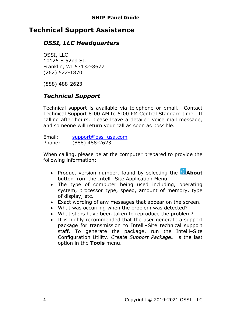## <span id="page-3-0"></span>**Technical Support Assistance**

## *OSSI, LLC Headquarters*

OSSI, LLC 10125 S 52nd St. Franklin, WI 53132-8677 (262) 522-1870

(888) 488-2623

## *Technical Support*

Technical support is available via telephone or email. Contact Technical Support 8:00 AM to 5:00 PM Central Standard time. If calling after hours, please leave a detailed voice mail message, and someone will return your call as soon as possible.

Email: [support@ossi-usa.com](mailto:support@ossi-usa.com) Phone: (888) 488-2623

When calling, please be at the computer prepared to provide the following information:

- Product version number, found by selecting the **CAbout** button from the Intelli-Site Application Menu.
- The type of computer being used including, operating system, processor type, speed, amount of memory, type of display, etc.
- Exact wording of any messages that appear on the screen.
- What was occurring when the problem was detected?
- What steps have been taken to reproduce the problem?
- It is highly recommended that the user generate a support package for transmission to Intelli-Site technical support staff. To generate the package, run the Intelli-Site Configuration Utility. *Create Support Package…* is the last option in the **Tools** menu.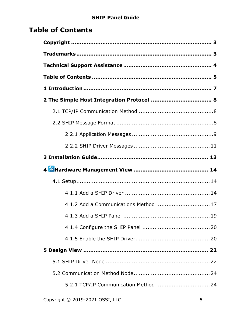## <span id="page-4-0"></span>**Table of Contents**

| 4.1.2 Add a Communications Method  17 |
|---------------------------------------|
|                                       |
|                                       |
|                                       |
|                                       |
|                                       |
|                                       |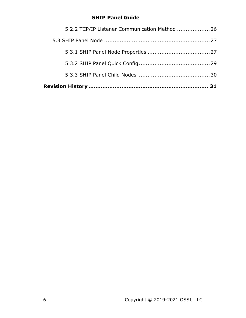| 5.2.2 TCP/IP Listener Communication Method  26 |  |
|------------------------------------------------|--|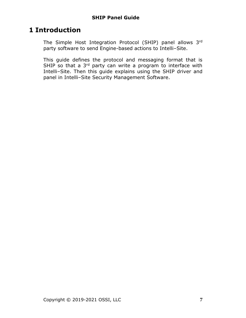## <span id="page-6-0"></span>**1 Introduction**

The Simple Host Integration Protocol (SHIP) panel allows 3rd party software to send Engine-based actions to Intelli-Site.

This guide defines the protocol and messaging format that is SHIP so that a 3<sup>rd</sup> party can write a program to interface with Intelli-Site. Then this guide explains using the SHIP driver and panel in Intelli-Site Security Management Software.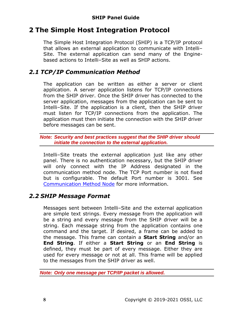## <span id="page-7-0"></span>**2 The Simple Host Integration Protocol**

The Simple Host Integration Protocol (SHIP) is a TCP/IP protocol that allows an external application to communicate with Intelli-Site. The external application can send many of the Enginebased actions to Intelli-Site as well as SHIP actions.

## <span id="page-7-1"></span>*2.1 TCP/IP Communication Method*

The application can be written as either a server or client application. A server application listens for TCP/IP connections from the SHIP driver. Once the SHIP driver has connected to the server application, messages from the application can be sent to Intelli–Site. If the application is a client, then the SHIP driver must listen for TCP/IP connections from the application. The application must then initiate the connection with the SHIP driver before messages can be sent.

#### *Note: Security and best practices suggest that the SHIP driver should initiate the connection to the external application.*

Intelli–Site treats the external application just like any other panel. There is no authentication necessary, but the SHIP driver will only connect with the IP Address designated in the communication method node. The TCP Port number is not fixed but is configurable. The default Port number is 3001. See [Communication Method Node](#page-23-0) for more information.

## <span id="page-7-2"></span>*2.2 SHIP Message Format*

Messages sent between Intelli-Site and the external application are simple text strings. Every message from the application will be a string and every message from the SHIP driver will be a string. Each message string from the application contains one command and the target. If desired, a frame can be added to the message. This frame can contain a **Start String** and/or an **End String**. If either a **Start String** or an **End String** is defined, they must be part of every message. Either they are used for every message or not at all. This frame will be applied to the messages from the SHIP driver as well.

*Note: Only one message per TCP/IP packet is allowed.*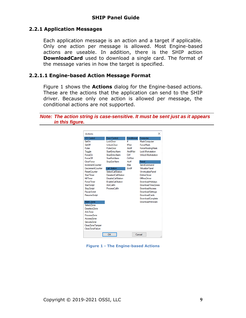#### <span id="page-8-0"></span>**2.2.1 Application Messages**

Each application message is an action and a target if applicable. Only one action per message is allowed. Most Engine-based actions are useable. In addition, there is the SHIP action **DownloadCard** used to download a single card. The format of the message varies in how the target is specified.

#### **2.2.1.1 Engine-based Action Message Format**

Figure 1 shows the **Actions** dialog for the Engine-based actions. These are the actions that the application can send to the SHIP driver. Because only one action is allowed per message, the conditional actions are not supported.

*Note: The action string is case-sensitive. It must be sent just as it appears in this figure.*

| <b>Actions</b>          |                            |                   | ×                         |
|-------------------------|----------------------------|-------------------|---------------------------|
| I/O Control             | Door Control               | Conditional       | Computer                  |
| SetOn                   | <b>LockDoor</b>            | ۴                 | MaskComputer              |
| SetOff                  | <b>UnlockDoor</b>          | <b>If Not</b>     | <b>ForceMask</b>          |
| Pulse                   | <b>PulseDoor</b>           | Andlf             | <b>ForceRoutingMask</b>   |
| Toggle                  | Start Entry Alarm          | <b>And If Not</b> | Lock Workstation          |
| ForceOn                 | Stop Entry Alarm           | Orlf              | <b>Unlock Workstation</b> |
| ForceOff                | Start Exit Alarm           | OrlfNot           |                           |
| ClearForce              | Stop Exit Alarm            | Xorlf             | Panel                     |
| <b>IncrementCounter</b> |                            | Fise              | SendCommand               |
| <b>DecrementCounter</b> | Call Station               | Fndff             | <b>VirtualizePanel</b>    |
| <b>ResetCounter</b>     | <b>SelectCallStation</b>   |                   | <b>UnvirtualizePanel</b>  |
| <b>Start Timer</b>      | <b>DeselectCallStation</b> |                   | OnlineDriver              |
| <b>Kill Timer</b>       | DisableCallStation         |                   | <b>OfflineDriver</b>      |
| <b>Force Timer</b>      | <b>EnableCallStation</b>   |                   | DownloadHolidavs          |
| <b>Start Script</b>     | <b>AckCallIn</b>           |                   | Download TimeZones        |
| <b>Stop Script</b>      | ProcessCallIn              |                   | <b>DownloadAccess</b>     |
| Pause Script            |                            |                   | <b>DownloadSettings</b>   |
| <b>ResumeScript</b>     |                            |                   | DownloadCards             |
|                         |                            |                   | DownloadComplete          |
| Alam Zone               |                            |                   | DownloadFirmware          |
| Select Zone             |                            |                   |                           |
| DeselectZone            |                            |                   |                           |
| Ack7one                 |                            |                   |                           |
| Process <sub>7one</sub> |                            |                   |                           |
| Access Zone             |                            |                   |                           |
| SecureZone              |                            |                   |                           |
| ClearZoneTamper         |                            |                   |                           |
| ClearZoneFailure        |                            |                   |                           |
|                         | OK                         |                   | Cancel                    |

**Figure 1 - The Engine-based Actions**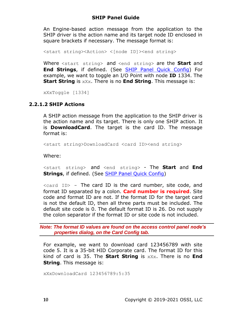An Engine-based action message from the application to the SHIP driver is the action name and its target node ID enclosed in square brackets if necessary. The message format is:

<start string><Action> <[node ID]><end string>

Where <start string> and <end string> are the **Start** and **End Strings**, if defined. (See [SHIP Panel Quick Config\)](#page-28-1) For example, we want to toggle an I/O Point with node **ID** 1334. The **Start String** is xXx. There is no **End String**. This message is:

xXxToggle [1334]

#### **2.2.1.2 SHIP Actions**

A SHIP action message from the application to the SHIP driver is the action name and its target. There is only one SHIP action. It is **DownloadCard**. The target is the card ID. The message format is:

<start string>DownloadCard <card ID><end string>

Where:

<start string> and <end string> - The **Start** and **End Strings**, if defined. (See **SHIP Panel Quick Config)** 

 $\langle$ card ID> - The card ID is the card number, site code, and format ID separated by a colon. **Card number is required**. Site code and format ID are not. If the format ID for the target card is not the default ID, then all three parts must be included. The default site code is 0. The default format ID is 26. Do not supply the colon separator if the format ID or site code is not included.

*Note: The format ID values are found on the access control panel node's properties dialog, on the Card Config tab.*

For example, we want to download card 123456789 with site code 5. It is a 35-bit HID Corporate card. The format ID for this kind of card is 35. The **Start String** is xXx. There is no **End String**. This message is:

xXxDownloadCard 123456789:5:35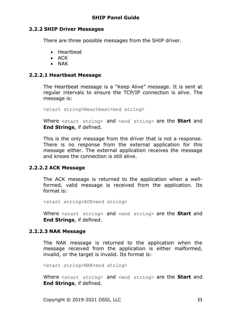#### <span id="page-10-0"></span>**2.2.2 SHIP Driver Messages**

There are three possible messages from the SHIP driver.

- Heartbeat
- ACK
- NAK

#### **2.2.2.1 Heartbeat Message**

The Heartbeat message is a "Keep Alive" message. It is sent at regular intervals to ensure the TCP/IP connection is alive. The message is:

```
<start string>Heartbeat<end string>
```
Where <start string> and <end string> are the **Start** and **End Strings**, if defined.

This is the only message from the driver that is not a response. There is no response from the external application for this message either. The external application receives the message and knows the connection is still alive.

#### **2.2.2.2 ACK Message**

The ACK message is returned to the application when a wellformed, valid message is received from the application. Its format is:

<start string>ACK<end string>

Where <start string> and <end string> are the **Start** and **End Strings**, if defined.

#### **2.2.2.3 NAK Message**

The NAK message is returned to the application when the message received from the application is either malformed, invalid, or the target is invalid. Its format is:

<start string>NAK<end string>

Where <start string> and <end string> are the **Start** and **End Strings**, if defined.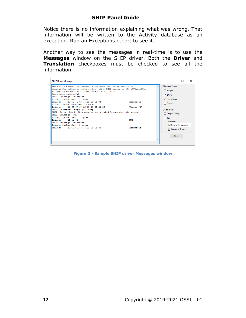Notice there is no information explaining what was wrong. That information will be written to the Activity database as an exception. Run an Exceptions report to see it.

Another way to see the messages in real-time is to use the **Messages** window on the SHIP driver. Both the **Driver** and **Translation** checkboxes must be checked to see all the information.

| <b>SHIP Driver Messages</b>                                                                                                                                                                                                                                                                                                                                                                                                                                                                                                                                                   |                         | $\times$<br>ш                                                                                                                                         |
|-------------------------------------------------------------------------------------------------------------------------------------------------------------------------------------------------------------------------------------------------------------------------------------------------------------------------------------------------------------------------------------------------------------------------------------------------------------------------------------------------------------------------------------------------------------------------------|-------------------------|-------------------------------------------------------------------------------------------------------------------------------------------------------|
| Requesting current DriverService instance for [1326] SHIP Driver<br>Current DriverService instance for [1326] SHIP Driver is [4] LATWin10SOL.<br>Attempting connection to LATWin10SOL on port 9602<br>Connection successful<br>SHIP: Sending: Heartbeat<br>Driver: Packet Sent: 9 bytes<br>Driver: 48 65 61 72 74 62 65 61 74<br>Driver: Packet Received: 10 bytes<br>Driver: 54 6F 67 67 6C 65 20 5B 31 5D<br>SHIP: Received: Toggle [1] Setup<br>SHIP: Error: Row 1: This node is not a valid Target for this action.<br>SHIP: Sending: NAK<br>Driver: Packet Sent: 3 bytes | Heartheat<br>Toggle [1] | Message Types<br>$\Box$ Engine<br>$\triangledown$ Driver<br>$\triangledown$ Translation<br>$\Box$ Comm<br><b>Destinations</b><br>Output Debug<br>File |
| Driver: 4E 41 4B<br>SHIP: Sending: Heartbeat<br>Driver: Packet Sent: 9 bytes<br>Driver: 48 65 61 72 74 62 65 61 74                                                                                                                                                                                                                                                                                                                                                                                                                                                            | NAK<br>Heartheat        | <b>Filename</b><br>[0] New SHIP Driver.txt<br>$\triangledown$ Delete At Startup<br>Clear                                                              |
|                                                                                                                                                                                                                                                                                                                                                                                                                                                                                                                                                                               |                         |                                                                                                                                                       |

**Figure 2 - Sample SHIP driver Messages window**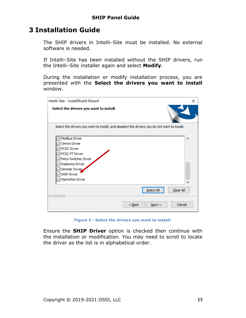## <span id="page-12-0"></span>**3 Installation Guide**

The SHIP drivers in Intelli-Site must be installed. No external software is needed.

If Intelli-Site has been installed without the SHIP drivers, run the Intelli‒Site installer again and select **Modify**.

During the installation or modify installation process, you are presented with the **Select the drivers you want to install** window.

| Intelli-Site - InstallShield Wizard                                                                                                                                            | ×         |
|--------------------------------------------------------------------------------------------------------------------------------------------------------------------------------|-----------|
| Select the drivers you want to install.                                                                                                                                        |           |
| Select the drivers you want to install, and deselect the drivers you do not want to install.                                                                                   |           |
| Modbus Driver<br>Omron Driver<br><b>PCSC Driver</b><br>PCSC FT Driver<br>Pelco Switcher Driver<br>Radionics Driver<br>Senstar Driver<br><b>SHIP Driver</b><br>Stentofon Driver | A         |
| Select All<br><b>InstallShield</b>                                                                                                                                             | Clear All |
| $Back$<br>Next >                                                                                                                                                               | Cancel    |

**Figure 3 - Select the drivers you want to install.**

Ensure the **SHIP Driver** option is checked then continue with the installation or modification. You may need to scroll to locate the driver as the list is in alphabetical order.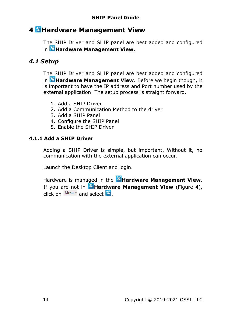## <span id="page-13-0"></span>**4 Hardware Management View**

The SHIP Driver and SHIP panel are best added and configured in **Hardware Management View**.

### <span id="page-13-1"></span>*4.1 Setup*

The SHIP Driver and SHIP panel are best added and configured in **Hardware Management View**. Before we begin though, it is important to have the IP address and Port number used by the external application. The setup process is straight forward.

- 1. Add a SHIP Driver
- 2. Add a Communication Method to the driver
- 3. Add a SHIP Panel
- 4. Configure the SHIP Panel
- 5. Enable the SHIP Driver

#### <span id="page-13-2"></span>**4.1.1 Add a SHIP Driver**

Adding a SHIP Driver is simple, but important. Without it, no communication with the external application can occur.

Launch the Desktop Client and login.

Hardware is managed in the **AHardware Management View**. If you are not in **Mardware Management View** (Figure 4), click on  $\frac{\text{Mean}}{\text{Area}}$  and select  $\frac{36}{4}$ .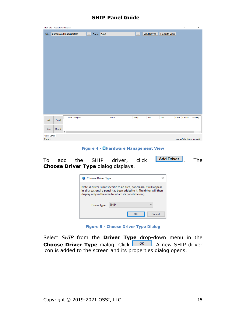|                         | Intelli-Site - Public School System |                              |               |        |               |                   |                     |       |                                | Ο        | $\times$ |
|-------------------------|-------------------------------------|------------------------------|---------------|--------|---------------|-------------------|---------------------|-------|--------------------------------|----------|----------|
|                         |                                     | Site: Corporate Headquarters | v  Area: Area |        | $\vee$ $\mid$ | <b>Add Driver</b> | <b>Reports View</b> |       |                                |          |          |
|                         |                                     |                              |               |        |               |                   |                     |       |                                |          |          |
|                         |                                     |                              |               |        |               |                   |                     |       |                                |          |          |
|                         |                                     |                              |               |        |               |                   |                     |       |                                |          |          |
|                         |                                     |                              |               |        |               |                   |                     |       |                                |          |          |
|                         |                                     |                              |               |        |               |                   |                     |       |                                |          |          |
|                         |                                     |                              |               |        |               |                   |                     |       |                                |          |          |
|                         |                                     |                              |               |        |               |                   |                     |       |                                |          |          |
|                         |                                     |                              |               |        |               |                   |                     |       |                                |          |          |
|                         |                                     |                              |               |        |               |                   |                     |       |                                |          |          |
|                         |                                     |                              |               |        |               |                   |                     |       |                                |          |          |
|                         |                                     |                              |               |        |               |                   |                     |       |                                |          |          |
|                         |                                     |                              |               |        |               |                   |                     |       |                                |          |          |
|                         |                                     |                              |               |        |               |                   |                     |       |                                |          |          |
|                         |                                     |                              |               |        |               |                   |                     |       |                                |          |          |
|                         |                                     |                              |               |        |               |                   |                     |       |                                |          |          |
|                         |                                     |                              |               |        |               |                   |                     |       |                                |          |          |
|                         |                                     |                              |               |        |               |                   |                     |       |                                |          |          |
|                         |                                     |                              |               |        |               |                   |                     |       |                                |          |          |
| ${\sf Ack}$             | Ack All                             | <b>Alam Description</b>      |               | Status | Priority      | Date              | Time                | Count | Card No.                       | Acked By |          |
|                         |                                     |                              |               |        |               |                   |                     |       |                                |          |          |
| Clear                   | Clear All                           |                              |               |        |               |                   |                     |       |                                |          |          |
|                         |                                     | $\langle$                    |               |        |               |                   |                     |       |                                |          | $\,$     |
| Queue Control<br>Menu - |                                     |                              |               |        |               |                   |                     |       | License Valid SMA is not valid |          |          |
|                         |                                     |                              |               |        |               |                   |                     |       |                                |          |          |

**Figure 4 - Hardware Management View**

To add the SHIP driver, click **Add Driver** . The **Choose Driver Type** dialog displays.

| Choose Driver Type |                                                                                                                                                                                                        |  |
|--------------------|--------------------------------------------------------------------------------------------------------------------------------------------------------------------------------------------------------|--|
|                    | Note: A driver is not specific to an area, panels are. It will appear<br>in all areas until a panel has been added to it. The driver will then<br>display only in the area to which its panels belong. |  |
| Driver Type:       | <b>SHIP</b>                                                                                                                                                                                            |  |
|                    | Cancel<br>οк                                                                                                                                                                                           |  |

**Figure 5 - Choose Driver Type Dialog**

Select *SHIP* from the **Driver Type** drop-down menu in the **Choose Driver Type** dialog. Click **. A new SHIP driver** icon is added to the screen and its properties dialog opens.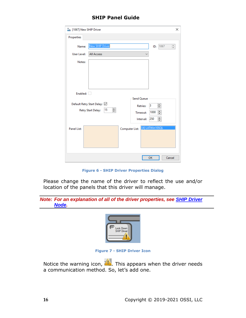|                    | I [1067] New SHIP Driver<br>×                                                                 |  |
|--------------------|-----------------------------------------------------------------------------------------------|--|
| Properties         |                                                                                               |  |
| Name:              | New SHIP Driver<br>1067<br>÷<br>ID:                                                           |  |
| User Level:        | <b>All Access</b>                                                                             |  |
| Notes:             |                                                                                               |  |
|                    | Enabled:                                                                                      |  |
|                    | <b>Send Queue</b><br>Default Retry Start Delay: ☑                                             |  |
|                    | $\div$<br>3<br><b>Retries:</b><br>÷<br>15<br>Retry Start Delay:<br>$\div$<br>1000<br>Timeout: |  |
|                    | $\div$<br>250<br>Interval:                                                                    |  |
| <b>Panel List:</b> | [4] LATWin10SQL<br>Computer List:                                                             |  |
|                    | OK<br>Cancel                                                                                  |  |

**Figure 6 - SHIP Driver Properties Dialog**

Please change the name of the driver to reflect the use and/or location of the panels that this driver will manage.

*Note: For an explanation of all of the driver properties, see SHIP [Driver](#page-21-2)  [Node.](#page-21-2)*



**Figure 7 - SHIP Driver Icon**

Notice the warning icon,  $\langle \cdot \rangle$ . This appears when the driver needs a communication method. So, let's add one.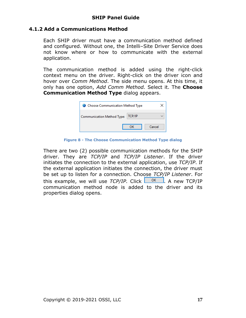#### <span id="page-16-0"></span>**4.1.2 Add a Communications Method**

Each SHIP driver must have a communication method defined and configured. Without one, the Intelli-Site Driver Service does not know where or how to communicate with the external application.

The communication method is added using the right-click context menu on the driver. Right-click on the driver icon and hover over *Comm Method*. The side menu opens. At this time, it only has one option, *Add Comm Method.* Select it. The **Choose Communication Method Type** dialog appears.

| Choose Communication Method Type  |        |        |  |
|-----------------------------------|--------|--------|--|
| <b>Communication Method Type:</b> | TCP/IP |        |  |
|                                   |        | Cancel |  |

**Figure 8 - The Choose Communication Method Type dialog**

There are two (2) possible communication methods for the SHIP driver. They are *TCP/IP* and *TCP/IP Listener*. If the driver initiates the connection to the external application, use *TCP/IP*. If the external application initiates the connection, the driver must be set up to listen for a connection. Choose *TCP/IP Listener*. For this example, we will use  $TCP/IP$ . Click  $\boxed{OR}$ . A new TCP/IP communication method node is added to the driver and its properties dialog opens.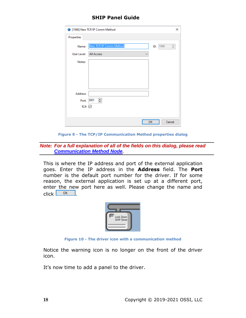|             | 1068] New TCP/IP Comm Method      |             | ×      |
|-------------|-----------------------------------|-------------|--------|
| Properties  |                                   |             |        |
| Name:       | New TCP/IP Comm Method            | 1068<br>ID: | $\div$ |
| User Level: | <b>All Access</b><br>$\checkmark$ |             |        |
| Notes:      |                                   |             |        |
|             |                                   |             |        |
|             |                                   |             |        |
|             |                                   |             |        |
| Address:    |                                   |             |        |
| Port:       | ÷<br>3001                         |             |        |
| TCP: $\vee$ |                                   |             |        |
|             |                                   |             |        |
|             |                                   | OK          | Cancel |

**Figure 9 - The TCP/IP Communication Method properties dialog**

*Note: For a full explanation of all of the fields on this dialog, please read [Communication Method Node.](#page-23-0)*

This is where the IP address and port of the external application goes. Enter the IP address in the **Address** field. The **Port** number is the default port number for the driver. If for some reason, the external application is set up at a different port, enter the new port here as well. Please change the name and  $click$   $0K$ 



**Figure 10 - The driver icon with a communication method**

Notice the warning icon is no longer on the front of the driver icon.

It's now time to add a panel to the driver.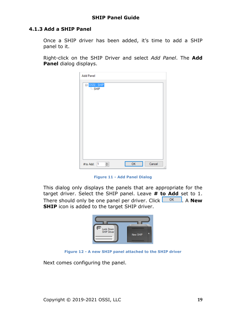#### <span id="page-18-0"></span>**4.1.3 Add a SHIP Panel**

Once a SHIP driver has been added, it's time to add a SHIP panel to it.

Right-click on the SHIP Driver and select *Add Panel*. The **Add Panel** dialog displays.

| <b>Add Panel</b>             |                              |
|------------------------------|------------------------------|
| ⊟•OSSI - SHIP<br><b>SHIP</b> |                              |
|                              |                              |
|                              |                              |
|                              |                              |
|                              |                              |
| 싂<br>$\vert$ 1<br># to Add:  | OK<br>Cancel<br>$\mathbb{H}$ |

**Figure 11 - Add Panel Dialog**

This dialog only displays the panels that are appropriate for the target driver. Select the SHIP panel. Leave **# to Add** set to 1. There should only be one panel per driver. Click  $\frac{OR}{OR}$ . A **New SHIP** icon is added to the target SHIP driver.



**Figure 12 - A new SHIP panel attached to the SHIP driver**

Next comes configuring the panel.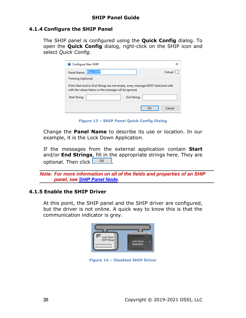#### <span id="page-19-0"></span>**4.1.4 Configure the SHIP Panel**

The SHIP panel is configured using the **Quick Config** dialog. To open the **Quick Config** dialog, right-click on the SHIP icon and select *Quick Config*.

| Configure New SHIP                                                                                                                        | ×            |  |
|-------------------------------------------------------------------------------------------------------------------------------------------|--------------|--|
| New SHIP<br>Panel Name:                                                                                                                   | Virtual:     |  |
| Framing (optional)                                                                                                                        |              |  |
| If the Start and/or End Strings are not empty, every message MUST start/end with<br>with the values below or the message will be ignored. |              |  |
| <b>End String:</b><br><b>Start String:</b>                                                                                                |              |  |
|                                                                                                                                           | OK<br>Cancel |  |

**Figure 13 – SHIP Panel Quick Config Dialog**

Change the **Panel Name** to describe its use or location. In our example, it is the Lock Down Application.

If the messages from the external application contain **Start**  and/or **End Strings**, fill in the appropriate strings here. They are optional. Then click **.** OK

*Note: For more information on all of the fields and properties of an SHIP panel, see SHIP [Panel Node.](#page-26-2)*

#### <span id="page-19-1"></span>**4.1.5 Enable the SHIP Driver**

At this point, the SHIP panel and the SHIP driver are configured, but the driver is not online. A quick way to know this is that the communication indicator is grey.



**Figure 14 – Disabled SHIP Driver**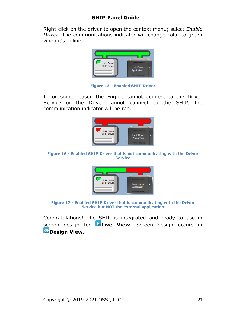Right-click on the driver to open the context menu; select *Enable Driver*. The communications indicator will change color to green when it's online.



**Figure 15 - Enabled SHIP Driver**

If for some reason the Engine cannot connect to the Driver Service or the Driver cannot connect to the SHIP, the communication indicator will be red.



**Figure 16 - Enabled SHIP Driver that is not communicating with the Driver Service**



**Figure 17 - Enabled SHIP Driver that is communicating with the Driver Service but NOT the external application**

Congratulations! The SHIP is integrated and ready to use in screen design for **Live View**. Screen design occurs in *Design View.*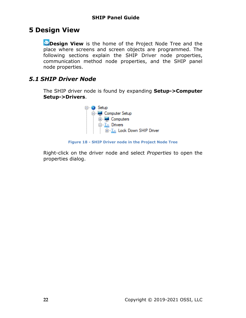## <span id="page-21-0"></span>**5 Design View**

**Design View** is the home of the Project Node Tree and the place where screens and screen objects are programmed. The following sections explain the SHIP Driver node properties, communication method node properties, and the SHIP panel node properties.

## <span id="page-21-2"></span><span id="page-21-1"></span>*5.1 SHIP Driver Node*

The SHIP driver node is found by expanding **Setup->Computer Setup->Drivers**.



**Figure 18 - SHIP Driver node in the Project Node Tree**

Right-click on the driver node and select *Properties* to open the properties dialog.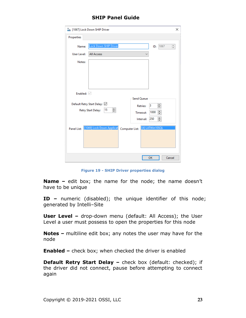| I [1067] Lock Down SHIP Driver                                                       | ×      |
|--------------------------------------------------------------------------------------|--------|
| Properties                                                                           |        |
| <b>Lock Down SHIP Driver</b><br>1067<br>Name:<br>ID:                                 | ÷      |
| <b>All Access</b><br>User Level:                                                     |        |
| Notes:                                                                               |        |
|                                                                                      |        |
|                                                                                      |        |
|                                                                                      |        |
|                                                                                      |        |
| Enabled: $\vee$<br><b>Send Queue</b>                                                 |        |
| Default Retry Start Delay: ☑                                                         |        |
| ÷<br>3<br><b>Retries:</b><br>÷<br>15<br>Retry Start Delay:                           |        |
| ÷<br>1000<br>Timeout:                                                                |        |
| $\div$<br>250<br>Interval:                                                           |        |
| [4] LATWin10SQL<br>[1069] Lock Down Applicat<br><b>Panel List:</b><br>Computer List: |        |
|                                                                                      |        |
|                                                                                      |        |
|                                                                                      |        |
|                                                                                      |        |
| OK                                                                                   | Cancel |

**Figure 19 - SHIP Driver properties dialog**

**Name –** edit box; the name for the node; the name doesn't have to be unique

**ID –** numeric (disabled); the unique identifier of this node; generated by Intelli-Site

**User Level -** drop-down menu (default: All Access); the User Level a user must possess to open the properties for this node

**Notes –** multiline edit box; any notes the user may have for the node

**Enabled –** check box; when checked the driver is enabled

**Default Retry Start Delay –** check box (default: checked); if the driver did not connect, pause before attempting to connect again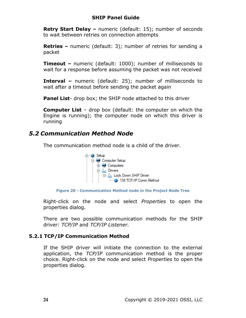**Retry Start Delay –** numeric (default: 15); number of seconds to wait between retries on connection attempts

**Retries –** numeric (default: 3); number of retries for sending a packet

**Timeout –** numeric (default: 1000); number of milliseconds to wait for a response before assuming the packet was not received

**Interval –** numeric (default: 25); number of milliseconds to wait after a timeout before sending the packet again

**Panel List**- drop box; the SHIP node attached to this driver

**Computer List** – drop box (default: the computer on which the Engine is running); the computer node on which this driver is running

### <span id="page-23-0"></span>*5.2 Communication Method Node*

The communication method node is a child of the driver.



**Figure 20 - Communication Method node in the Project Node Tree**

Right-click on the node and select *Properties* to open the properties dialog.

There are two possible communication methods for the SHIP driver: *TCP/IP* and *TCP/IP Listener.*

#### <span id="page-23-1"></span>**5.2.1 TCP/IP Communication Method**

If the SHIP driver will initiate the connection to the external application, the *TCP/IP* communication method is the proper choice. Right-click on the node and select *Properties* to open the properties dialog.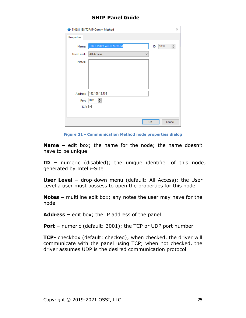|             | 1068] 138 TCP/IP Comm Method      |     | ×                                                     |
|-------------|-----------------------------------|-----|-------------------------------------------------------|
| Properties  |                                   |     |                                                       |
| Name:       | 138 TCP/IP Comm Method            | ID: | $\hat{\overline{\phantom{w}}\hspace{-0.5em}}$<br>1068 |
| User Level: | <b>All Access</b><br>$\checkmark$ |     |                                                       |
| Notes:      |                                   |     |                                                       |
|             |                                   |     |                                                       |
|             |                                   |     |                                                       |
|             |                                   |     |                                                       |
| Address:    | 192.168.12.138                    |     |                                                       |
| Port:       | ÷<br>3001                         |     |                                                       |
| TCP: $\vee$ |                                   |     |                                                       |
|             |                                   |     |                                                       |
|             |                                   | OK  | Cancel                                                |

**Figure 21 - Communication Method node properties dialog**

**Name –** edit box; the name for the node; the name doesn't have to be unique

**ID –** numeric (disabled); the unique identifier of this node; generated by Intelli-Site

**User Level -** drop-down menu (default: All Access); the User Level a user must possess to open the properties for this node

**Notes –** multiline edit box; any notes the user may have for the node

**Address –** edit box; the IP address of the panel

**Port –** numeric (default: 3001); the TCP or UDP port number

**TCP-** checkbox (default: checked); when checked, the driver will communicate with the panel using TCP; when not checked, the driver assumes UDP is the desired communication protocol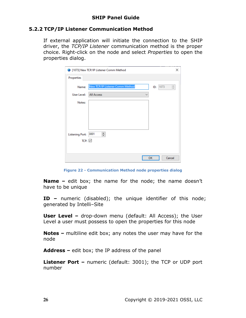#### <span id="page-25-0"></span>**5.2.2 TCP/IP Listener Communication Method**

If external application will initiate the connection to the SHIP driver, the *TCP/IP Listener* communication method is the proper choice. Right-click on the node and select *Properties* to open the properties dialog.

|                        | 1073] New TCP/IP Listener Comm Method |     | ×         |
|------------------------|---------------------------------------|-----|-----------|
| Properties             |                                       |     |           |
| Name:                  | New TCP/IP Listener Comm Method       | ID: | 1073<br>÷ |
| User Level:            | All Access<br>$\checkmark$            |     |           |
| Notes:                 |                                       |     |           |
|                        |                                       |     |           |
|                        |                                       |     |           |
|                        |                                       |     |           |
| Listening Port:        | $\div$<br>3001                        |     |           |
| TCP: $\overline{\vee}$ |                                       |     |           |
|                        |                                       |     |           |
|                        |                                       | OK  | Cancel    |

**Figure 22 - Communication Method node properties dialog**

**Name –** edit box; the name for the node; the name doesn't have to be unique

**ID –** numeric (disabled); the unique identifier of this node; generated by Intelli-Site

**User Level –** drop-down menu (default: All Access); the User Level a user must possess to open the properties for this node

**Notes –** multiline edit box; any notes the user may have for the node

**Address –** edit box; the IP address of the panel

**Listener Port –** numeric (default: 3001); the TCP or UDP port number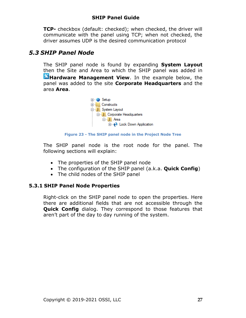**TCP-** checkbox (default: checked); when checked, the driver will communicate with the panel using TCP; when not checked, the driver assumes UDP is the desired communication protocol

## <span id="page-26-2"></span><span id="page-26-0"></span>*5.3 SHIP Panel Node*

The SHIP panel node is found by expanding **System Layout** then the Site and Area to which the SHIP panel was added in **K**Hardware Management View. In the example below, the panel was added to the site **Corporate Headquarters** and the area **Area**.



**Figure 23 - The SHIP panel node in the Project Node Tree**

The SHIP panel node is the root node for the panel. The following sections will explain:

- The properties of the SHIP panel node
- The configuration of the SHIP panel (a.k.a. **Quick Config**)
- The child nodes of the SHIP panel

#### **5.3.1 SHIP Panel Node Properties**

<span id="page-26-1"></span>Right-click on the SHIP panel node to open the properties. Here there are additional fields that are not accessible through the **Quick Config** dialog. They correspond to those features that aren't part of the day to day running of the system.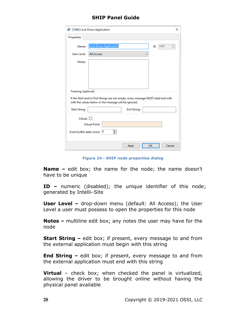| <b>♦ [1069] Lock Down Application</b><br>×                                                                                                |
|-------------------------------------------------------------------------------------------------------------------------------------------|
| Properties                                                                                                                                |
| <b>Lock Down Application</b><br>1069<br>۸<br>Name:<br>ID:<br>÷                                                                            |
| User Level:<br><b>All Access</b><br>$\checkmark$                                                                                          |
| Notes:                                                                                                                                    |
|                                                                                                                                           |
|                                                                                                                                           |
|                                                                                                                                           |
| Framing (optional)                                                                                                                        |
| If the Start and/or End Strings are not empty, every message MUST start/end with<br>with the values below or the message will be ignored. |
| <b>Start String:</b><br><b>End String:</b>                                                                                                |
| Virtual: $\Box$                                                                                                                           |
| <b>Virtual Point:</b>                                                                                                                     |
| ÷<br>Event buffer delta (min): 0                                                                                                          |
| OK<br>Cancel<br>Apply                                                                                                                     |

**Figure 24 - SHIP node properties dialog**

**Name –** edit box; the name for the node; the name doesn't have to be unique

**ID –** numeric (disabled); the unique identifier of this node; generated by Intelli-Site

**User Level –** drop-down menu (default: All Access); the User Level a user must possess to open the properties for this node

**Notes –** multiline edit box; any notes the user may have for the node

**Start String –** edit box; if present, every message to and from the external application must begin with this string

**End String –** edit box; if present, every message to and from the external application must end with this string

**Virtual** – check box; when checked the panel is virtualized, allowing the driver to be brought online without having the physical panel available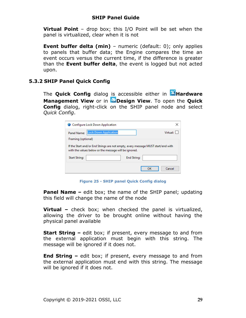**Virtual Point** – drop box; this I/O Point will be set when the panel is virtualized, clear when it is not

**Event buffer delta (min)** - numeric (default: 0); only applies to panels that buffer data; the Engine compares the time an event occurs versus the current time, if the difference is greater than the **Event buffer delta**, the event is logged but not acted upon.

#### <span id="page-28-1"></span>**5.3.2 SHIP Panel Quick Config**

<span id="page-28-0"></span>The **Quick Config** dialog is accessible either in **Alardware Management View** or in **Design View**. To open the **Quick Config** dialog, right-click on the SHIP panel node and select *Quick Config*.

|                      | Configure Lock Down Application                                                                                                           |                    |    |          |
|----------------------|-------------------------------------------------------------------------------------------------------------------------------------------|--------------------|----|----------|
| Panel Name:          | <b>Lock Down Application</b>                                                                                                              |                    |    | Virtual: |
| Framing (optional)   |                                                                                                                                           |                    |    |          |
|                      | If the Start and/or End Strings are not empty, every message MUST start/end with<br>with the values below or the message will be ignored. |                    |    |          |
| <b>Start String:</b> |                                                                                                                                           | <b>End String:</b> |    |          |
|                      |                                                                                                                                           |                    | ок | Cancel   |

**Figure 25 - SHIP panel Quick Config dialog**

**Panel Name –** edit box; the name of the SHIP panel; updating this field will change the name of the node

**Virtual –** check box; when checked the panel is virtualized, allowing the driver to be brought online without having the physical panel available

**Start String –** edit box; if present, every message to and from the external application must begin with this string. The message will be ignored if it does not.

**End String –** edit box; if present, every message to and from the external application must end with this string. The message will be ignored if it does not.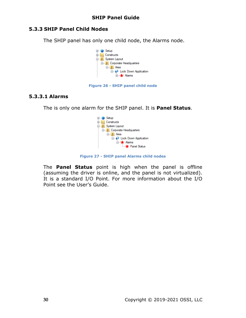#### **5.3.3 SHIP Panel Child Nodes**

<span id="page-29-0"></span>The SHIP panel has only one child node, the Alarms node.



#### **Figure 26 - SHIP panel child node**

#### **5.3.3.1 Alarms**

The is only one alarm for the SHIP panel. It is **Panel Status**.



**Figure 27 - SHIP panel Alarms child nodes**

The **Panel Status** point is high when the panel is offline (assuming the driver is online, and the panel is not virtualized). It is a standard I/O Point. For more information about the I/O Point see the User's Guide.